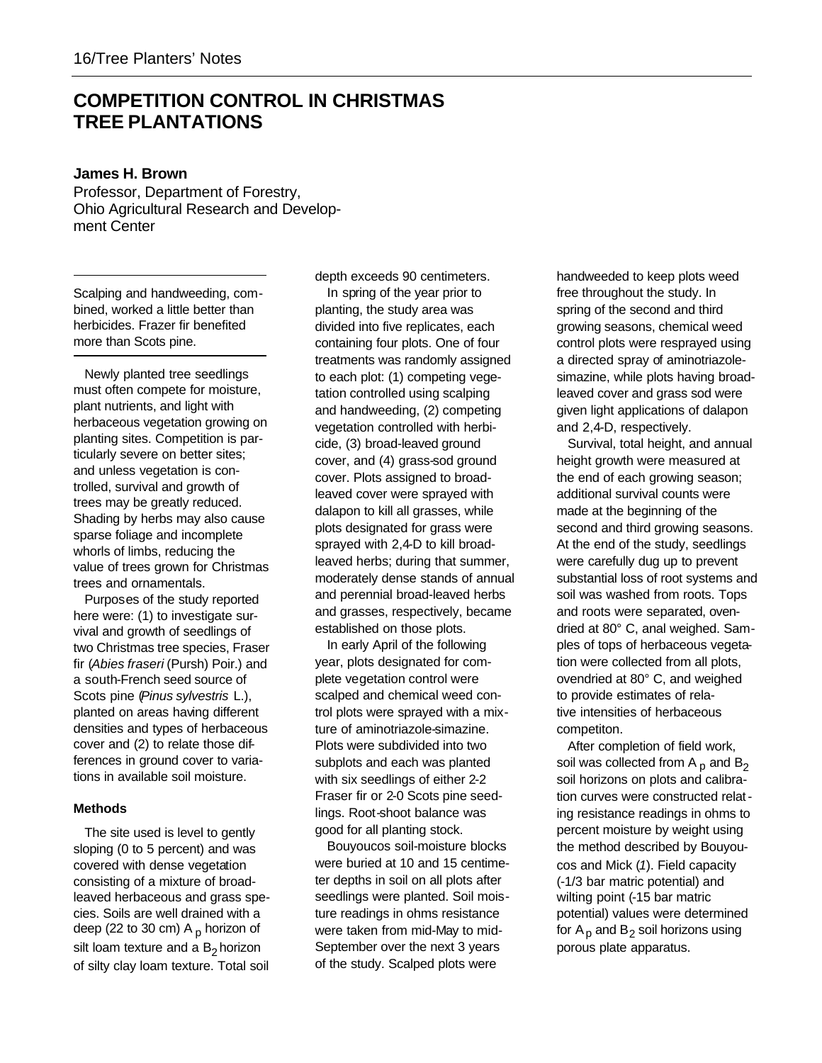# **COMPETITION CONTROL IN CHRISTMAS TREE PLANTATIONS**

# **James H. Brown**

Professor, Department of Forestry, Ohio Agricultural Research and Development Center

Scalping and handweeding, combined, worked a little better than herbicides. Frazer fir benefited more than Scots pine.

Newly planted tree seedlings must often compete for moisture, plant nutrients, and light with herbaceous vegetation growing on planting sites. Competition is particularly severe on better sites; and unless vegetation is controlled, survival and growth of trees may be greatly reduced. Shading by herbs may also cause sparse foliage and incomplete whorls of limbs, reducing the value of trees grown for Christmas trees and ornamentals.

Purposes of the study reported here were: (1) to investigate survival and growth of seedlings of two Christmas tree species, Fraser fir (*Abies fraseri* (Pursh) Poir.) and a south-French seed source of Scots pine (*Pinus sylvestris* L.), planted on areas having different densities and types of herbaceous cover and (2) to relate those differences in ground cover to variations in available soil moisture.

## **Methods**

The site used is level to gently sloping (0 to 5 percent) and was covered with dense vegetation consisting of a mixture of broadleaved herbaceous and grass species. Soils are well drained with a deep (22 to 30 cm)  $A<sub>p</sub>$  horizon of silt loam texture and a  $\mathsf B_2$ horizon of silty clay loam texture. Total soil

depth exceeds 90 centimeters.

In spring of the year prior to planting, the study area was divided into five replicates, each containing four plots. One of four treatments was randomly assigned to each plot: (1) competing vegetation controlled using scalping and handweeding, (2) competing vegetation controlled with herbicide, (3) broad-leaved ground cover, and (4) grass-sod ground cover. Plots assigned to broadleaved cover were sprayed with dalapon to kill all grasses, while plots designated for grass were sprayed with 2,4-D to kill broadleaved herbs; during that summer, moderately dense stands of annual and perennial broad-leaved herbs and grasses, respectively, became established on those plots.

In early April of the following year, plots designated for complete vegetation control were scalped and chemical weed control plots were sprayed with a mixture of aminotriazole-simazine. Plots were subdivided into two subplots and each was planted with six seedlings of either 2-2 Fraser fir or 2-0 Scots pine seedlings. Root-shoot balance was good for all planting stock.

Bouyoucos soil-moisture blocks were buried at 10 and 15 centimeter depths in soil on all plots after seedlings were planted. Soil moisture readings in ohms resistance were taken from mid-May to mid-September over the next 3 years of the study. Scalped plots were

handweeded to keep plots weed free throughout the study. In spring of the second and third growing seasons, chemical weed control plots were resprayed using a directed spray of aminotriazolesimazine, while plots having broadleaved cover and grass sod were given light applications of dalapon and 2,4-D, respectively.

Survival, total height, and annual height growth were measured at the end of each growing season; additional survival counts were made at the beginning of the second and third growing seasons. At the end of the study, seedlings were carefully dug up to prevent substantial loss of root systems and soil was washed from roots. Tops and roots were separated, ovendried at 80° C, anal weighed. Samples of tops of herbaceous vegetation were collected from all plots, ovendried at 80° C, and weighed to provide estimates of relative intensities of herbaceous competiton.

After completion of field work, soil was collected from A  $_{\text{p}}$  and B<sub>2</sub> soil horizons on plots and calibration curves were constructed relating resistance readings in ohms to percent moisture by weight using the method described by Bouyoucos and Mick (*1*). Field capacity (-1/3 bar matric potential) and wilting point (-15 bar matric potential) values were determined for  ${\sf A}_{\sf p}$  and  ${\sf B}_{\sf 2}$  soil horizons using porous plate apparatus.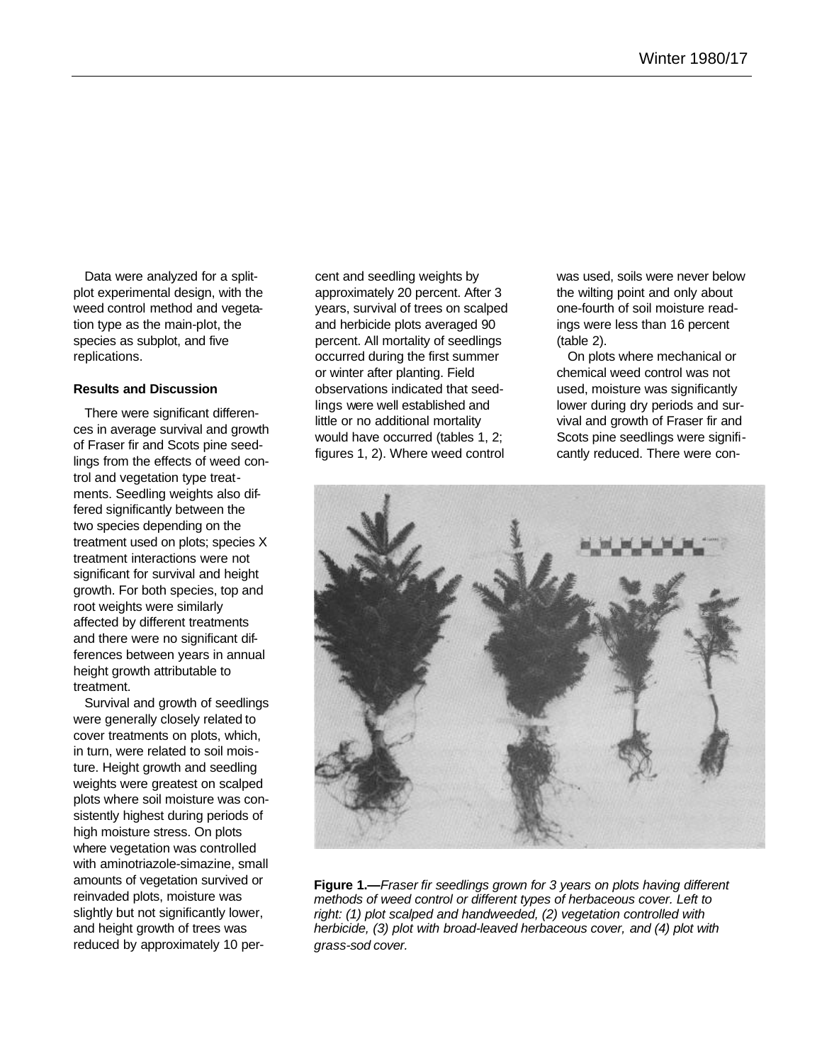Data were analyzed for a splitplot experimental design, with the weed control method and vegetation type as the main-plot, the species as subplot, and five replications.

### **Results and Discussion**

There were significant differences in average survival and growth of Fraser fir and Scots pine seedlings from the effects of weed control and vegetation type treatments. Seedling weights also differed significantly between the two species depending on the treatment used on plots; species X treatment interactions were not significant for survival and height growth. For both species, top and root weights were similarly affected by different treatments and there were no significant differences between years in annual height growth attributable to treatment.

Survival and growth of seedlings were generally closely related to cover treatments on plots, which, in turn, were related to soil moisture. Height growth and seedling weights were greatest on scalped plots where soil moisture was consistently highest during periods of high moisture stress. On plots where vegetation was controlled with aminotriazole-simazine, small amounts of vegetation survived or reinvaded plots, moisture was slightly but not significantly lower, and height growth of trees was reduced by approximately 10 percent and seedling weights by approximately 20 percent. After 3 years, survival of trees on scalped and herbicide plots averaged 90 percent. All mortality of seedlings occurred during the first summer or winter after planting. Field observations indicated that seedlings were well established and little or no additional mortality would have occurred (tables 1, 2; figures 1, 2). Where weed control

was used, soils were never below the wilting point and only about one-fourth of soil moisture readings were less than 16 percent (table 2).

On plots where mechanical or chemical weed control was not used, moisture was significantly lower during dry periods and survival and growth of Fraser fir and Scots pine seedlings were significantly reduced. There were con-



**Figure 1.—***Fraser fir seedlings grown for 3 years on plots having different methods of weed control or different types of herbaceous cover. Left to right: (1) plot scalped and handweeded, (2) vegetation controlled with herbicide, (3) plot with broad-leaved herbaceous cover, and (4) plot with grass-sod cover.*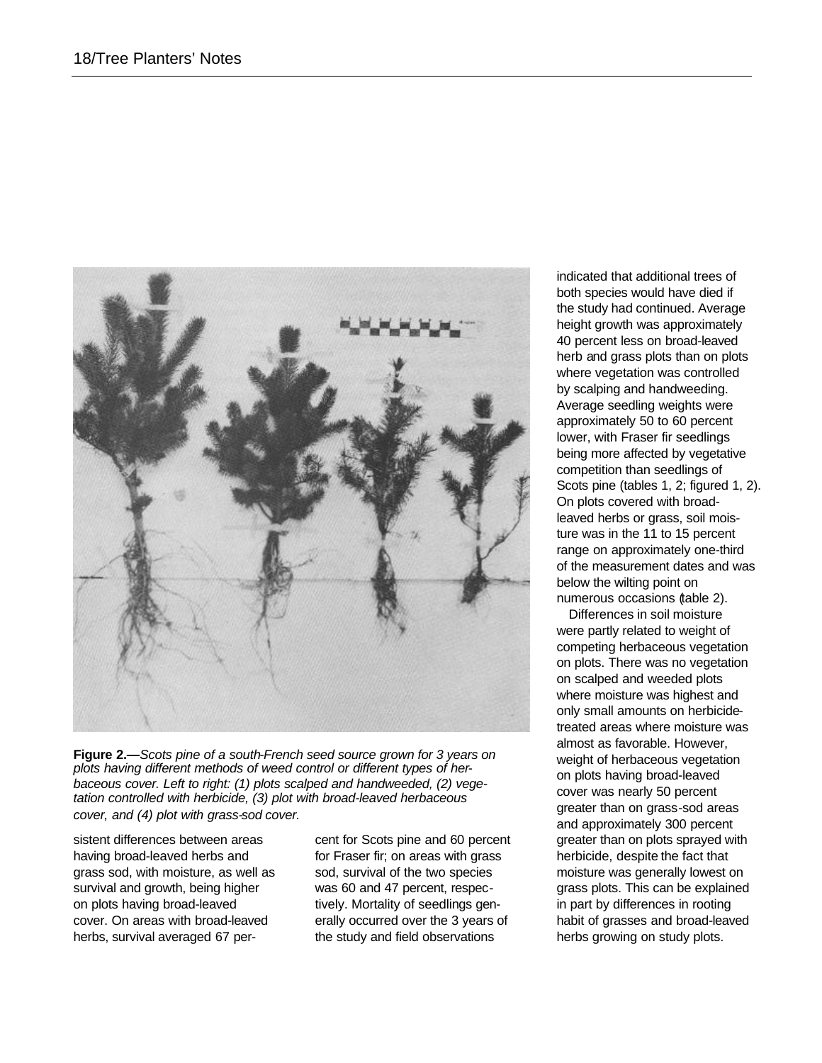

**Figure 2.—***Scots pine of a south-French seed source grown for 3 years on plots having different methods of weed control or different types of herbaceous cover. Left to right: (1) plots scalped and handweeded, (2) vegetation controlled with herbicide, (3) plot with broad-leaved herbaceous cover, and (4) plot with grass-sod cover.*

sistent differences between areas having broad-leaved herbs and grass sod, with moisture, as well as survival and growth, being higher on plots having broad-leaved cover. On areas with broad-leaved herbs, survival averaged 67 percent for Scots pine and 60 percent for Fraser fir; on areas with grass sod, survival of the two species was 60 and 47 percent, respectively. Mortality of seedlings generally occurred over the 3 years of the study and field observations

indicated that additional trees of both species would have died if the study had continued. Average height growth was approximately 40 percent less on broad-leaved herb and grass plots than on plots where vegetation was controlled by scalping and handweeding. Average seedling weights were approximately 50 to 60 percent lower, with Fraser fir seedlings being more affected by vegetative competition than seedlings of Scots pine (tables 1, 2; figured 1, 2). On plots covered with broadleaved herbs or grass, soil moisture was in the 11 to 15 percent range on approximately one-third of the measurement dates and was below the wilting point on numerous occasions (table 2).

Differences in soil moisture were partly related to weight of competing herbaceous vegetation on plots. There was no vegetation on scalped and weeded plots where moisture was highest and only small amounts on herbicidetreated areas where moisture was almost as favorable. However, weight of herbaceous vegetation on plots having broad-leaved cover was nearly 50 percent greater than on grass-sod areas and approximately 300 percent greater than on plots sprayed with herbicide, despite the fact that moisture was generally lowest on grass plots. This can be explained in part by differences in rooting habit of grasses and broad-leaved herbs growing on study plots.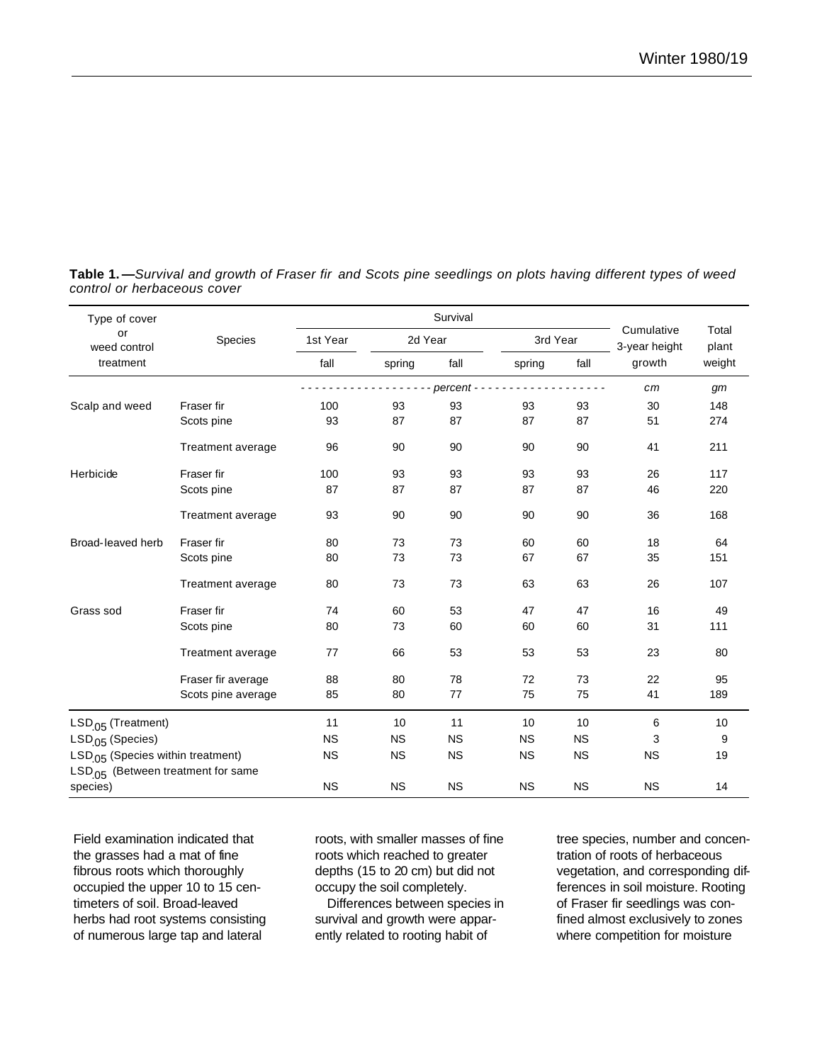| Type of cover                                  | Species                  | Survival         |           |           |           |           |                             |                |
|------------------------------------------------|--------------------------|------------------|-----------|-----------|-----------|-----------|-----------------------------|----------------|
| or<br>weed control<br>treatment                |                          | 1st Year<br>fall | 2d Year   |           | 3rd Year  |           | Cumulative<br>3-year height | Total<br>plant |
|                                                |                          |                  | spring    | fall      | spring    | fall      | growth                      | weight         |
|                                                |                          | percent -        |           |           |           |           | cm                          | gm             |
| Scalp and weed                                 | Fraser fir               | 100              | 93        | 93        | 93        | 93        | 30                          | 148            |
|                                                | Scots pine               | 93               | 87        | 87        | 87        | 87        | 51                          | 274            |
|                                                | Treatment average        | 96               | 90        | 90        | 90        | 90        | 41                          | 211            |
| Herbicide                                      | Fraser fir               | 100              | 93        | 93        | 93        | 93        | 26                          | 117            |
|                                                | Scots pine               | 87               | 87        | 87        | 87        | 87        | 46                          | 220            |
|                                                | Treatment average        | 93               | 90        | 90        | 90        | 90        | 36                          | 168            |
| Broad-leaved herb                              | Fraser fir               | 80               | 73        | 73        | 60        | 60        | 18                          | 64             |
|                                                | Scots pine               | 80               | 73        | 73        | 67        | 67        | 35                          | 151            |
|                                                | Treatment average        | 80               | 73        | 73        | 63        | 63        | 26                          | 107            |
| Grass sod                                      | Fraser fir               | 74               | 60        | 53        | 47        | 47        | 16                          | 49             |
|                                                | Scots pine               | 80               | 73        | 60        | 60        | 60        | 31                          | 111            |
|                                                | <b>Treatment average</b> | 77               | 66        | 53        | 53        | 53        | 23                          | 80             |
|                                                | Fraser fir average       | 88               | 80        | 78        | 72        | 73        | 22                          | 95             |
|                                                | Scots pine average       | 85               | 80        | 77        | 75        | 75        | 41                          | 189            |
| LSD <sub>.05</sub> (Treatment)                 |                          | 11               | 10        | 11        | 10        | 10        | 6                           | 10             |
| LSD <sub>.05</sub> (Species)                   |                          | <b>NS</b>        | <b>NS</b> | <b>NS</b> | <b>NS</b> | <b>NS</b> | 3                           | 9              |
| LSD <sub>.05</sub> (Species within treatment)  |                          | <b>NS</b>        | <b>NS</b> | <b>NS</b> | <b>NS</b> | <b>NS</b> | <b>NS</b>                   | 19             |
| LSD <sub>.05</sub> (Between treatment for same |                          |                  |           |           |           |           |                             |                |
| species)                                       |                          | <b>NS</b>        | <b>NS</b> | <b>NS</b> | <b>NS</b> | <b>NS</b> | <b>NS</b>                   | 14             |

**Table 1. —***Survival and growth of Fraser fir and Scots pine seedlings on plots having different types of weed control or herbaceous cover*

Field examination indicated that the grasses had a mat of fine fibrous roots which thoroughly occupied the upper 10 to 15 centimeters of soil. Broad-leaved herbs had root systems consisting of numerous large tap and lateral

roots, with smaller masses of fine roots which reached to greater depths (15 to 20 cm) but did not occupy the soil completely.

Differences between species in survival and growth were apparently related to rooting habit of

tree species, number and concentration of roots of herbaceous vegetation, and corresponding differences in soil moisture. Rooting of Fraser fir seedlings was confined almost exclusively to zones where competition for moisture